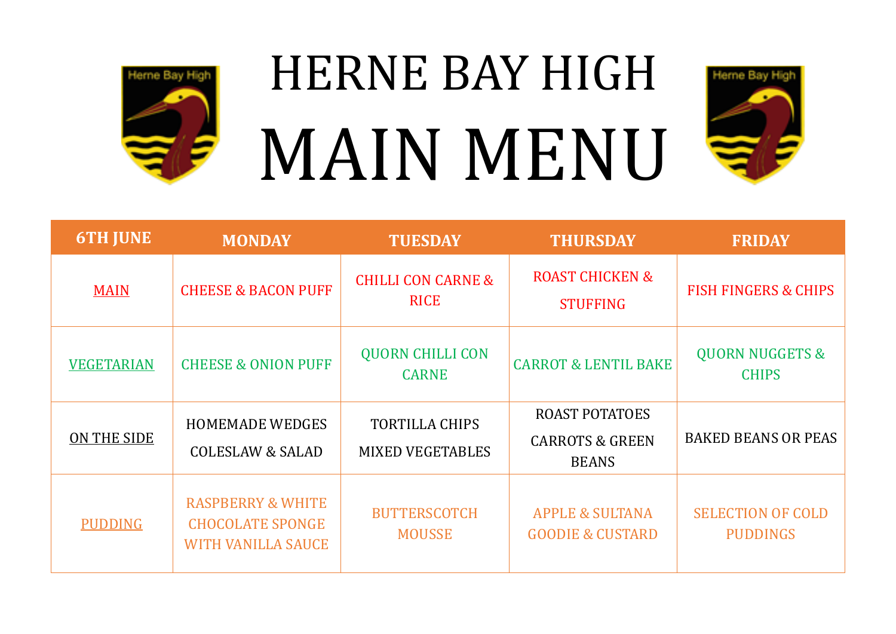

## HERNE BAY HIGH MAIN MENU



| <b>6TH JUNE</b>   | <b>MONDAY</b>                                                                        | <b>TUESDAY</b>                                   | <b>THURSDAY</b>                                                     | <b>FRIDAY</b>                               |
|-------------------|--------------------------------------------------------------------------------------|--------------------------------------------------|---------------------------------------------------------------------|---------------------------------------------|
| <b>MAIN</b>       | <b>CHEESE &amp; BACON PUFF</b>                                                       | <b>CHILLI CON CARNE &amp;</b><br><b>RICE</b>     | <b>ROAST CHICKEN &amp;</b><br><b>STUFFING</b>                       | <b>FISH FINGERS &amp; CHIPS</b>             |
| <b>VEGETARIAN</b> | <b>CHEESE &amp; ONION PUFF</b>                                                       | <b>QUORN CHILLI CON</b><br><b>CARNE</b>          | <b>CARROT &amp; LENTIL BAKE</b>                                     | <b>QUORN NUGGETS &amp;</b><br><b>CHIPS</b>  |
| ON THE SIDE       | <b>HOMEMADE WEDGES</b><br><b>COLESLAW &amp; SALAD</b>                                | <b>TORTILLA CHIPS</b><br><b>MIXED VEGETABLES</b> | <b>ROAST POTATOES</b><br><b>CARROTS &amp; GREEN</b><br><b>BEANS</b> | <b>BAKED BEANS OR PEAS</b>                  |
| <b>PUDDING</b>    | <b>RASPBERRY &amp; WHITE</b><br><b>CHOCOLATE SPONGE</b><br><b>WITH VANILLA SAUCE</b> | <b>BUTTERSCOTCH</b><br><b>MOUSSE</b>             | <b>APPLE &amp; SULTANA</b><br><b>GOODIE &amp; CUSTARD</b>           | <b>SELECTION OF COLD</b><br><b>PUDDINGS</b> |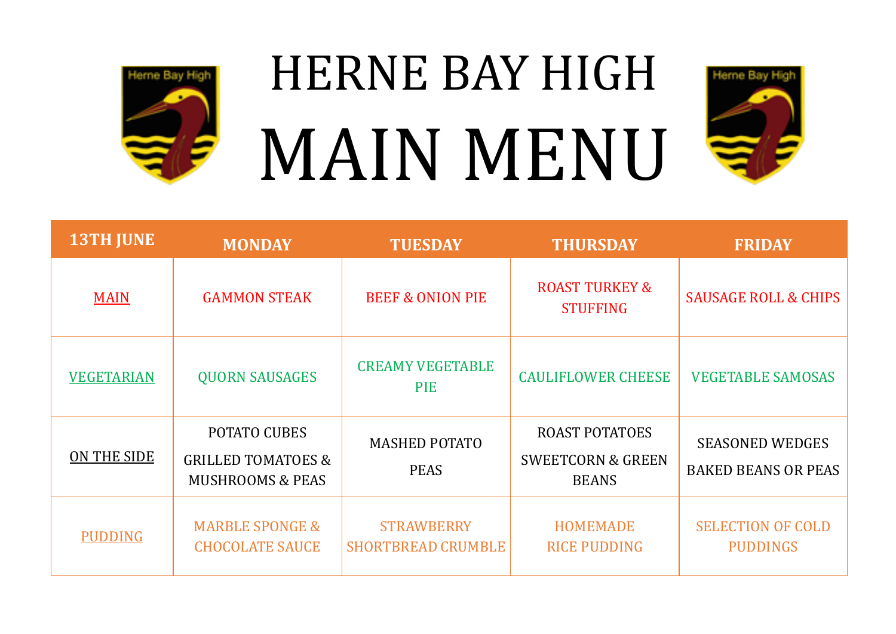

## HERNE BAY HIGH MAIN MENU



| <b>13TH JUNE</b>  | <b>MONDAY</b>                                                                       | <b>TUESDAY</b>                                 | <b>THURSDAY</b>                                                       | <b>FRIDAY</b>                                        |
|-------------------|-------------------------------------------------------------------------------------|------------------------------------------------|-----------------------------------------------------------------------|------------------------------------------------------|
| <b>MAIN</b>       | <b>GAMMON STEAK</b>                                                                 | <b>BEEF &amp; ONION PIE</b>                    | <b>ROAST TURKEY &amp;</b><br><b>STUFFING</b>                          | <b>SAUSAGE ROLL &amp; CHIPS</b>                      |
| <b>VEGETARIAN</b> | <b>QUORN SAUSAGES</b>                                                               | <b>CREAMY VEGETABLE</b><br><b>PIE</b>          | <b>CAULIFLOWER CHEESE</b>                                             | <b>VEGETABLE SAMOSAS</b>                             |
| ON THE SIDE       | <b>POTATO CUBES</b><br><b>GRILLED TOMATOES &amp;</b><br><b>MUSHROOMS &amp; PEAS</b> | <b>MASHED POTATO</b><br><b>PEAS</b>            | <b>ROAST POTATOES</b><br><b>SWEETCORN &amp; GREEN</b><br><b>BEANS</b> | <b>SEASONED WEDGES</b><br><b>BAKED BEANS OR PEAS</b> |
| <b>PUDDING</b>    | <b>MARBLE SPONGE &amp;</b><br><b>CHOCOLATE SAUCE</b>                                | <b>STRAWBERRY</b><br><b>SHORTBREAD CRUMBLE</b> | <b>HOMEMADE</b><br><b>RICE PUDDING</b>                                | <b>SELECTION OF COLD</b><br><b>PUDDINGS</b>          |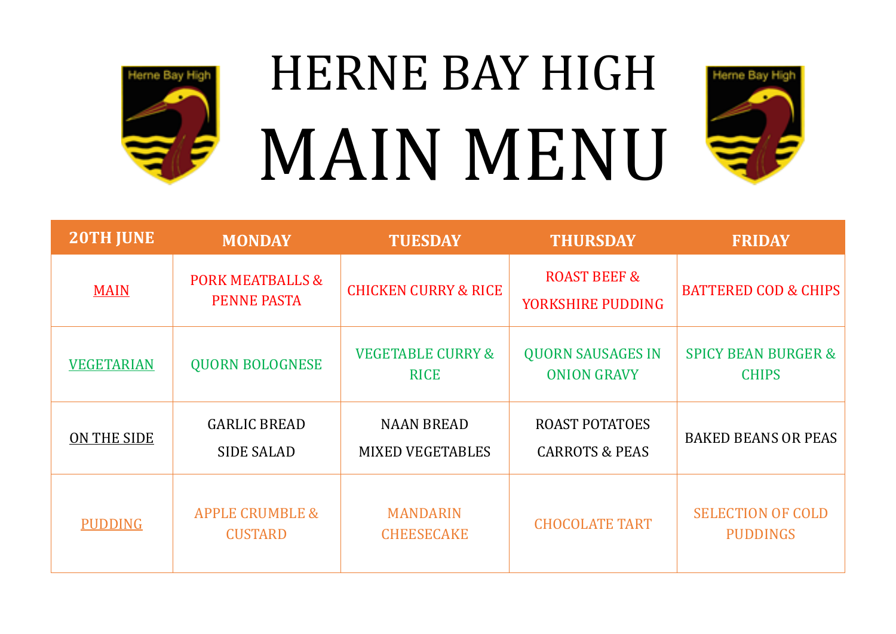

## HERNE BAY HIGH MAIN MENU



| <b>20TH JUNE</b>  | <b>MONDAY</b>                                     | <b>TUESDAY</b>                               | <b>THURSDAY</b>                                    | <b>FRIDAY</b>                                  |
|-------------------|---------------------------------------------------|----------------------------------------------|----------------------------------------------------|------------------------------------------------|
| <b>MAIN</b>       | <b>PORK MEATBALLS &amp;</b><br><b>PENNE PASTA</b> | <b>CHICKEN CURRY &amp; RICE</b>              | <b>ROAST BEEF &amp;</b><br>YORKSHIRE PUDDING       | <b>BATTERED COD &amp; CHIPS</b>                |
| <b>VEGETARIAN</b> | <b>QUORN BOLOGNESE</b>                            | <b>VEGETABLE CURRY &amp;</b><br><b>RICE</b>  | <b>QUORN SAUSAGES IN</b><br><b>ONION GRAVY</b>     | <b>SPICY BEAN BURGER &amp;</b><br><b>CHIPS</b> |
| ON THE SIDE       | <b>GARLIC BREAD</b><br><b>SIDE SALAD</b>          | <b>NAAN BREAD</b><br><b>MIXED VEGETABLES</b> | <b>ROAST POTATOES</b><br><b>CARROTS &amp; PEAS</b> | <b>BAKED BEANS OR PEAS</b>                     |
| <b>PUDDING</b>    | <b>APPLE CRUMBLE &amp;</b><br><b>CUSTARD</b>      | <b>MANDARIN</b><br><b>CHEESECAKE</b>         | <b>CHOCOLATE TART</b>                              | <b>SELECTION OF COLD</b><br><b>PUDDINGS</b>    |